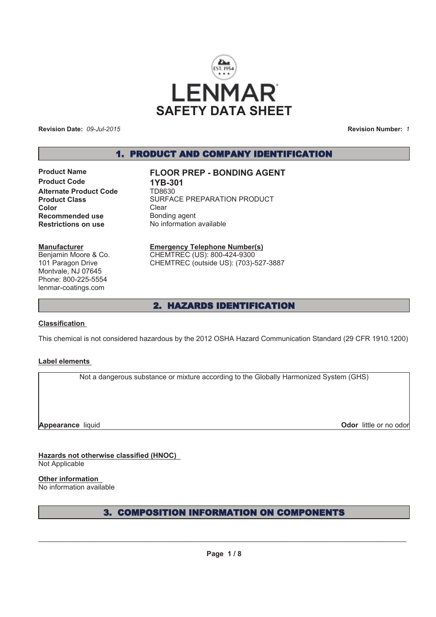

**Revision Date:** *09-Jul-2015*

**Revision Number:** *1*

# 1. PRODUCT AND COMPANY IDENTIFICATION

**Product Code 1YB-301**<br>Alternate Product Code 1D8630 **Alternate Product Code Color** Clear **Recommended use** Bonding agent **Restrictions on use** No information available

#### **Manufacturer**

Benjamin Moore & Co. 101 Paragon Drive Montvale, NJ 07645 Phone: 800-225-5554 lenmar-coatings.com

# **Product Name FLOOR PREP - BONDING AGENT**

**Product Class SURFACE PREPARATION PRODUCT** 

# **Emergency Telephone Number(s)**

CHEMTREC (US): 800-424-9300 CHEMTREC (outside US): (703)-527-3887

# 2. HAZARDS IDENTIFICATION

### **Classification**

This chemical is not considered hazardous by the 2012 OSHA Hazard Communication Standard (29 CFR 1910.1200)

### **Label elements**

Not a dangerous substance or mixture according to the Globally Harmonized System (GHS)

**Appearance** liquid **Contract Contract Contract Contract Contract Contract Contract Contract Contract Contract Contract Contract Contract Contract Contract Contract Contract Contract Contract Contract Contract Contract Con** 

**Hazards not otherwise classified (HNOC)** Not Applicable

**Other information**

No information available

# 3. COMPOSITION INFORMATION ON COMPONENTS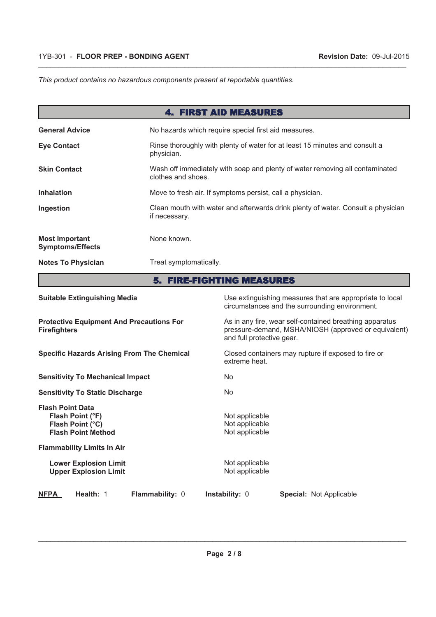*This product contains no hazardous components present at reportable quantities.*

| <b>4. FIRST AID MEASURES</b>                     |                                                                                                            |  |
|--------------------------------------------------|------------------------------------------------------------------------------------------------------------|--|
| <b>General Advice</b>                            | No hazards which require special first aid measures.                                                       |  |
| <b>Eye Contact</b>                               | Rinse thoroughly with plenty of water for at least 15 minutes and consult a<br>physician.                  |  |
| <b>Skin Contact</b>                              | Wash off immediately with soap and plenty of water removing all contaminated<br>clothes and shoes.         |  |
| <b>Inhalation</b>                                | Move to fresh air. If symptoms persist, call a physician.                                                  |  |
| Ingestion                                        | Clean mouth with water and afterwards drink plenty of water. Consult a physician<br>if necessary.          |  |
| <b>Most Important</b><br><b>Symptoms/Effects</b> | None known.                                                                                                |  |
| <b>Notes To Physician</b>                        | Treat symptomatically.                                                                                     |  |
| <b>5. FIRE-FIGHTING MEASURES</b>                 |                                                                                                            |  |
| <b>Suitable Extinguishing Media</b>              | Use extinguishing measures that are appropriate to local<br>circumstances and the surrounding environment. |  |

 $\_$  , and the state of the state of the state of the state of the state of the state of the state of the state of the state of the state of the state of the state of the state of the state of the state of the state of the

| <b>NFPA</b><br>Health: 1<br>Flammability: 0                                                       | Instability: 0<br><b>Special: Not Applicable</b>                                                                                             |
|---------------------------------------------------------------------------------------------------|----------------------------------------------------------------------------------------------------------------------------------------------|
| <b>Flammability Limits In Air</b><br><b>Lower Explosion Limit</b><br><b>Upper Explosion Limit</b> | Not applicable<br>Not applicable                                                                                                             |
| <b>Flash Point Data</b><br>Flash Point (°F)<br>Flash Point (°C)<br><b>Flash Point Method</b>      | Not applicable<br>Not applicable<br>Not applicable                                                                                           |
| <b>Sensitivity To Static Discharge</b>                                                            | No.                                                                                                                                          |
| <b>Sensitivity To Mechanical Impact</b>                                                           | extreme heat.<br>No.                                                                                                                         |
| <b>Specific Hazards Arising From The Chemical</b>                                                 | Closed containers may rupture if exposed to fire or                                                                                          |
| <b>Protective Equipment And Precautions For</b><br><b>Firefighters</b>                            | As in any fire, wear self-contained breathing apparatus<br>pressure-demand, MSHA/NIOSH (approved or equivalent)<br>and full protective gear. |
|                                                                                                   | circumstances and the surrounding environment.                                                                                               |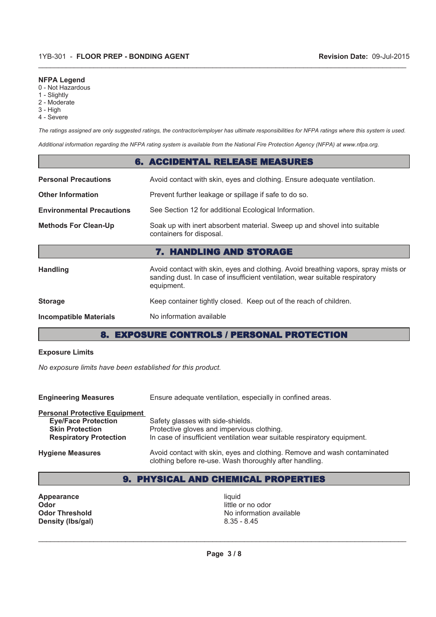#### **NFPA Legend**

- 0 Not Hazardous
- 1 Slightly
- 2 Moderate
- $3 High$
- 4 Severe

*The ratings assigned are only suggested ratings, the contractor/employer has ultimate responsibilities for NFPA ratings where this system is used.*

 $\_$  , and the state of the state of the state of the state of the state of the state of the state of the state of the state of the state of the state of the state of the state of the state of the state of the state of the

*Additional information regarding the NFPA rating system is available from the National Fire Protection Agency (NFPA) at www.nfpa.org.*

|                                  | <b>6. ACCIDENTAL RELEASE MEASURES</b>                                                                                                                                            |
|----------------------------------|----------------------------------------------------------------------------------------------------------------------------------------------------------------------------------|
| <b>Personal Precautions</b>      | Avoid contact with skin, eyes and clothing. Ensure adequate ventilation.                                                                                                         |
| <b>Other Information</b>         | Prevent further leakage or spillage if safe to do so.                                                                                                                            |
| <b>Environmental Precautions</b> | See Section 12 for additional Ecological Information.                                                                                                                            |
| <b>Methods For Clean-Up</b>      | Soak up with inert absorbent material. Sweep up and shovel into suitable<br>containers for disposal.                                                                             |
|                                  | <b>7. HANDLING AND STORAGE</b>                                                                                                                                                   |
| <b>Handling</b>                  | Avoid contact with skin, eyes and clothing. Avoid breathing vapors, spray mists or<br>sanding dust. In case of insufficient ventilation, wear suitable respiratory<br>equipment. |
| <b>Storage</b>                   | Keep container tightly closed. Keep out of the reach of children.                                                                                                                |
| <b>Incompatible Materials</b>    | No information available                                                                                                                                                         |

# 8. EXPOSURE CONTROLS / PERSONAL PROTECTION

#### **Exposure Limits**

*No exposure limits have been established for this product.*

| <b>Engineering Measures</b>                                                                                                   | Ensure adequate ventilation, especially in confined areas.                                                                                                  |
|-------------------------------------------------------------------------------------------------------------------------------|-------------------------------------------------------------------------------------------------------------------------------------------------------------|
| <b>Personal Protective Equipment</b><br><b>Eye/Face Protection</b><br><b>Skin Protection</b><br><b>Respiratory Protection</b> | Safety glasses with side-shields.<br>Protective gloves and impervious clothing.<br>In case of insufficient ventilation wear suitable respiratory equipment. |
| <b>Hygiene Measures</b>                                                                                                       | Avoid contact with skin, eyes and clothing. Remove and wash contaminated<br>clothing before re-use. Wash thoroughly after handling.                         |

# 9. PHYSICAL AND CHEMICAL PROPERTIES

**Appearance** liquid<br> **Odor** little c **Odor**<br> **Odor Threshold**<br> **Odor Threshold**<br> **Odor Threshold**<br> **Odor Threshold Density (lbs/gal)** 

No information available<br>8.35 - 8.45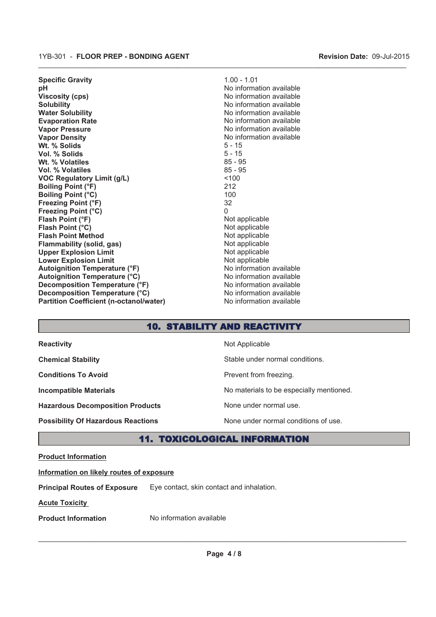#### 1YB-301 - **FLOOR PREP - BONDING AGENT Revision Date:** 09-Jul-2015

**Specific Gravity** 1.00 - 1.01 **pH pH**  $\blacksquare$ **Viscosity (cps)** No information available **Solubility** No information available **Water Solubility** No information available **Evaporation Rate No information available No information available Vapor Pressure** No information available **Vapor Density**<br> **We Solids**<br>
We Solid Wi, % Solids<br>
We Note that the Solid Support of the Solid Support of the Solid Support of the Solid Support of the Solid Support of the Solid Support of the Solid Support of the Solid Wt. % Solids **Vol. % Solids** 5 - 15 **Wt. % Volatiles** 85 - 95 **Vol. % Volatiles VOC Regulatory Limit (g/L)** <100 **Boiling Point (°F)** 212<br>**Boiling Point (°C)** 212 **Boiling Point (°C) Freezing Point (°F)** 32 **Freezing Point (°C)** 0 **Flash Point (°F)**<br> **Flash Point (°C)**<br> **Flash Point (°C)**<br> **Not** applicable **Flash Point (°C)**<br> **Flash Point Method**<br> **Flash Point Method**<br> **Not** applicable **Flash Point Method**<br> **Flammability (solid, gas)**<br>
Not applicable<br>
Not applicable **Flammability (solid, gas)** Not applicable<br>
Upper Explosion Limit Not applicable<br>
Not applicable **Upper Explosion Limit**<br> **Lower Explosion Limit**<br> **Lower Explosion Limit**<br> **Not applicable Lower Explosion Limit**<br> **Autoignition Temperature (°F)**<br>
No information available<br>
No information available Autoignition Temperature (°F)<br>
Autoignition Temperature (°C)<br>
No information available<br>
No information available Autoignition Temperature (°C)<br>
Decomposition Temperature (°F)<br>
No information available<br>
No information available **Decomposition Temperature (°F)**<br> **Decomposition Temperature (°C)**<br>
No information available<br>
No information available **Decomposition Temperature (°C)**<br> **Partition Coefficient (n-octanol/water)** No information available **Partition Coefficient (n-octanol/water)** 

# 10. STABILITY AND REACTIVITY

 $\_$  , and the state of the state of the state of the state of the state of the state of the state of the state of the state of the state of the state of the state of the state of the state of the state of the state of the

| <b>Reactivity</b>                         | Not Applicable                           |
|-------------------------------------------|------------------------------------------|
| <b>Chemical Stability</b>                 | Stable under normal conditions.          |
| <b>Conditions To Avoid</b>                | Prevent from freezing.                   |
| <b>Incompatible Materials</b>             | No materials to be especially mentioned. |
| <b>Hazardous Decomposition Products</b>   | None under normal use.                   |
| <b>Possibility Of Hazardous Reactions</b> | None under normal conditions of use.     |

# 11. TOXICOLOGICAL INFORMATION

**Product Information**

### **Information on likely routes of exposure**

**Principal Routes of Exposure** Eye contact, skin contact and inhalation.

**Acute Toxicity** 

**Product Information** No information available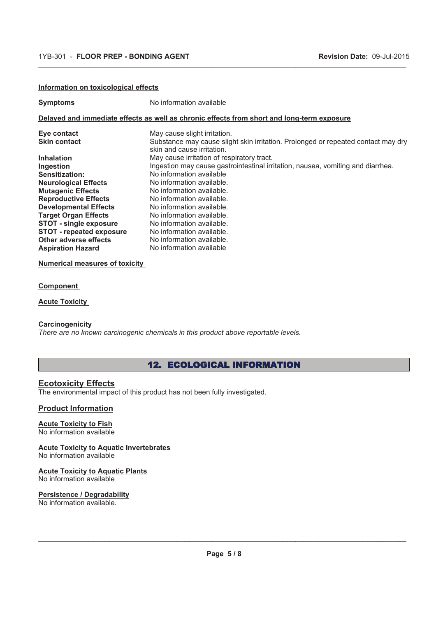#### 1YB-301 - **FLOOR PREP - BONDING AGENT Revision Date:** 09-Jul-2015

#### **Information on toxicological effects**

| <b>Symptoms</b>                 | No information available                                                                                        |
|---------------------------------|-----------------------------------------------------------------------------------------------------------------|
|                                 | Delayed and immediate effects as well as chronic effects from short and long-term exposure                      |
| Eye contact                     | May cause slight irritation.                                                                                    |
| <b>Skin contact</b>             | Substance may cause slight skin irritation. Prolonged or repeated contact may dry<br>skin and cause irritation. |
| <b>Inhalation</b>               | May cause irritation of respiratory tract.                                                                      |
| Ingestion                       | Ingestion may cause gastrointestinal irritation, nausea, vomiting and diarrhea.                                 |
| Sensitization:                  | No information available                                                                                        |
| <b>Neurological Effects</b>     | No information available.                                                                                       |
| <b>Mutagenic Effects</b>        | No information available.                                                                                       |
| <b>Reproductive Effects</b>     | No information available.                                                                                       |
| <b>Developmental Effects</b>    | No information available.                                                                                       |
| <b>Target Organ Effects</b>     | No information available.                                                                                       |
| <b>STOT - single exposure</b>   | No information available.                                                                                       |
| <b>STOT</b> - repeated exposure | No information available.                                                                                       |
| Other adverse effects           | No information available.                                                                                       |
| <b>Aspiration Hazard</b>        | No information available                                                                                        |

 $\_$  , and the state of the state of the state of the state of the state of the state of the state of the state of the state of the state of the state of the state of the state of the state of the state of the state of the

**Numerical measures of toxicity** 

#### **Component**

**Acute Toxicity** 

#### **Carcinogenicity**

*There are no known carcinogenic chemicals in this product above reportable levels.*

## 12. ECOLOGICAL INFORMATION

### **Ecotoxicity Effects**

The environmental impact of this product has not been fully investigated.

### **Product Information**

**Acute Toxicity to Fish** No information available

### **Acute Toxicity to Aquatic Invertebrates**

No information available

#### **Acute Toxicity to Aquatic Plants**

No information available

#### **Persistence / Degradability**

No information available.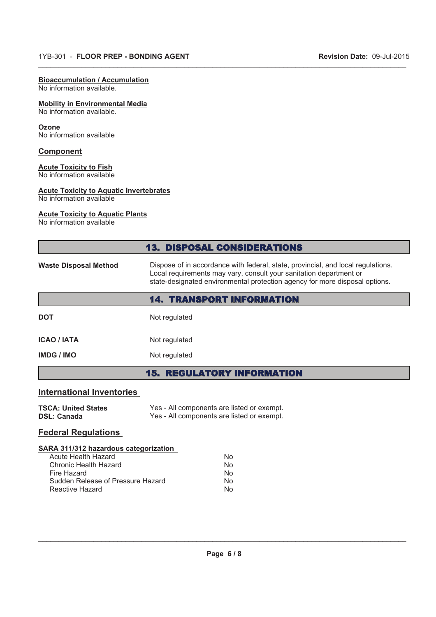**Bioaccumulation / Accumulation** No information available.

#### **Mobility in Environmental Media**

No information available.

### **Ozone**

No information available

#### **Component**

#### **Acute Toxicity to Fish** No information available

## **Acute Toxicity to Aquatic Invertebrates**

No information available

#### **Acute Toxicity to Aquatic Plants**

No information available

|                              | <b>13. DISPOSAL CONSIDERATIONS</b>                                                                                                                                                                                                    |
|------------------------------|---------------------------------------------------------------------------------------------------------------------------------------------------------------------------------------------------------------------------------------|
| <b>Waste Disposal Method</b> | Dispose of in accordance with federal, state, provincial, and local regulations.<br>Local requirements may vary, consult your sanitation department or<br>state-designated environmental protection agency for more disposal options. |
|                              | <b>14. TRANSPORT INFORMATION</b>                                                                                                                                                                                                      |
| <b>DOT</b>                   | Not regulated                                                                                                                                                                                                                         |
| ICAO / IATA                  | Not regulated                                                                                                                                                                                                                         |
| IMDG / IMO                   | Not regulated                                                                                                                                                                                                                         |
|                              |                                                                                                                                                                                                                                       |

 $\_$  , and the state of the state of the state of the state of the state of the state of the state of the state of the state of the state of the state of the state of the state of the state of the state of the state of the

# 15. REGULATORY INFORMATION

# **International Inventories**

| <b>TSCA: United States</b> | Yes - All components are listed or exempt. |
|----------------------------|--------------------------------------------|
| <b>DSL: Canada</b>         | Yes - All components are listed or exempt. |

# **Federal Regulations**

#### **SARA 311/312 hazardous categorization**

| Acute Health Hazard               | No |
|-----------------------------------|----|
| Chronic Health Hazard             | No |
| Fire Hazard                       | No |
| Sudden Release of Pressure Hazard | No |
| Reactive Hazard                   | N٥ |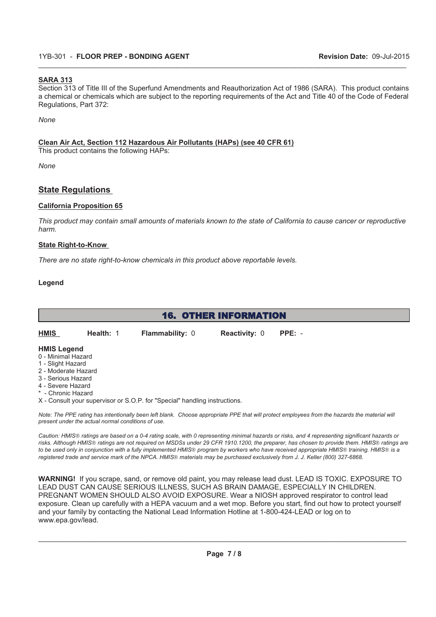#### **SARA 313**

Section 313 of Title III of the Superfund Amendments and Reauthorization Act of 1986 (SARA). This product contains a chemical or chemicals which are subject to the reporting requirements of the Act and Title 40 of the Code of Federal Regulations, Part 372:

 $\_$  , and the state of the state of the state of the state of the state of the state of the state of the state of the state of the state of the state of the state of the state of the state of the state of the state of the

*None*

# **Clean Air Act, Section 112 Hazardous Air Pollutants (HAPs) (see 40 CFR 61)**

This product contains the following HAPs:

*None*

## **State Regulations**

#### **California Proposition 65**

*This product may contain small amounts of materials known to the state of California to cause cancer or reproductive harm.*

#### **State Right-to-Know**

*There are no state right-to-know chemicals in this product above reportable levels.*

#### **Legend**

### 16. OTHER INFORMATION

| HMIS               | Health: 1 | <b>Flammability: 0</b> | <b>Reactivity: 0</b> | $PPE: -$ |
|--------------------|-----------|------------------------|----------------------|----------|
| <b>HMIS Legend</b> |           |                        |                      |          |

- 0 Minimal Hazard
- 1 Slight Hazard
- 2 Moderate Hazard
- 3 Serious Hazard
- 4 Severe Hazard
- Chronic Hazard
- X Consult your supervisor or S.O.P. for "Special" handling instructions.

*Note: The PPE rating has intentionally been left blank. Choose appropriate PPE that will protect employees from the hazards the material will present under the actual normal conditions of use.*

Caution: HMIS<sup>®</sup> ratings are based on a 0-4 rating scale, with 0 representing minimal hazards or risks, and 4 representing significant hazards or risks. Although HMIS<sup>®</sup> ratings are not required on MSDSs under 29 CFR 1910.1200, the preparer, has chosen to provide them. HMIS<sup>®</sup> ratings are to be used only in conjunction with a fully implemented HMIS<sup>®</sup> program by workers who have received appropriate HMIS<sup>®</sup> training. HMIS<sup>®</sup> is a *registered trade and service mark of the NPCA. HMIS materials may be purchased exclusively from J. J. Keller (800) 327-6868.*

**WARNING!** If you scrape, sand, or remove old paint, you may release lead dust. LEAD IS TOXIC. EXPOSURE TO LEAD DUST CAN CAUSE SERIOUS ILLNESS, SUCH AS BRAIN DAMAGE, ESPECIALLY IN CHILDREN. PREGNANT WOMEN SHOULD ALSO AVOID EXPOSURE. Wear a NIOSH approved respirator to control lead exposure. Clean up carefully with a HEPA vacuum and a wet mop. Before you start, find out how to protect yourself and your family by contacting the National Lead Information Hotline at 1-800-424-LEAD or log on to www.epa.gov/lead.